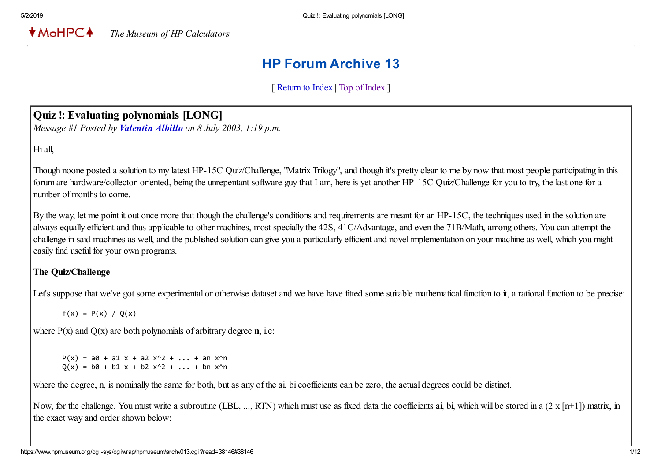$*$ MoHPC $*$ *The Museum of HP Calculators*

# HP Forum Archive 13

[ [Return to Index](https://www.hpmuseum.org/cgi-sys/cgiwrap/hpmuseum/archv013.cgi#38146) | [Top of Index](https://www.hpmuseum.org/cgi-sys/cgiwrap/hpmuseum/archv013.cgi) ]

# Quiz !: Evaluating polynomials [LONG]

*Message #1 Posted by [Valentin Albillo](https://www.hpmuseum.org/cgi-sys/cgiwrap/hpmuseum/archv013.cgi?contact=38146) on 8 July 2003, 1:19 p.m.*

Hi all,

Though noone posted a solution to my latest HP-15C Quiz/Challenge, "Matrix Trilogy", and though it's pretty clear to me by now that most people participating in this forum are hardware/collector-oriented, being the unrepentant software guy that I am, here is yet another HP-15C Quiz/Challenge for you to try, the last one for a number of months to come.

By the way, let me point it out once more that though the challenge's conditions and requirements are meant for an HP-15C, the techniques used in the solution are always equally efficient and thus applicable to other machines, most specially the 42S, 41C/Advantage, and even the 71B/Math, among others. You can attempt the challenge in said machines as well, and the published solution can give you a particularly efficient and novel implementation on your machine as well, which you might easily find useful for your own programs.

#### The Quiz/Challenge

Let's suppose that we've got some experimental or otherwise dataset and we have fitted some suitable mathematical function to it, a rational function to be precise:

 $f(x) = P(x) / Q(x)$ 

where  $P(x)$  and  $Q(x)$  are both polynomials of arbitrary degree **n**, i.e:

 $P(x) = a0 + a1 x + a2 x^2 + ... + an x^n$  $Q(x) = b0 + b1 x + b2 x^2 + ... + b n x^n$ 

where the degree, n, is nominally the same for both, but as any of the ai, bi coefficients can be zero, the actual degrees could be distinct.

Now, for the challenge. You must write a subroutine (LBL, ..., RTN) which must use as fixed data the coefficients ai, bi, which will be stored in a  $(2 \times \lceil n+1 \rceil)$  matrix, in the exact way and order shown below: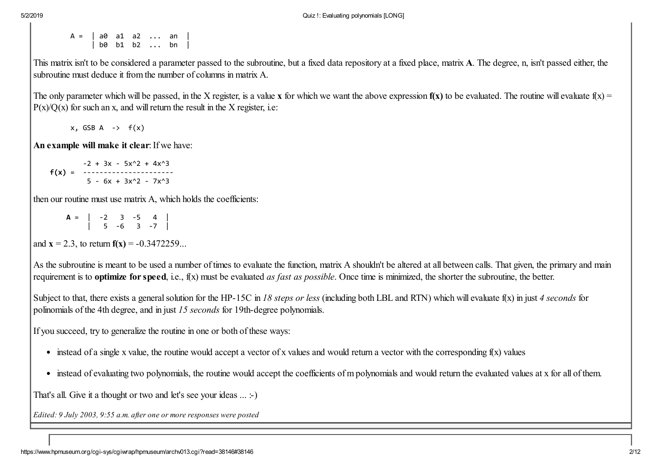A = | a0 a1 a2 ... an | | b0 b1 b2 ... bn |

This matrix isn't to be considered a parameter passed to the subroutine, but a fixed data repository at a fixed place, matrix A. The degree, n, isn't passed either, the subroutine must deduce it from the number of columns in matrix A.

The only parameter which will be passed, in the X register, is a value x for which we want the above expression  $f(x)$  to be evaluated. The routine will evaluate  $f(x) =$  $P(x)/Q(x)$  for such an x, and will return the result in the X register, i.e.

 $x$ , GSB A  $\rightarrow$   $f(x)$ 

An example will make it clear: If we have:

 $-2 + 3x - 5x^2 + 4x^3$ f(x) = ----------------------  $5 - 6x + 3x^2 - 7x^3$ 

then our routine must use matrix A, which holds the coefficients:

 $A = \begin{vmatrix} -2 & 3 & -5 & 4 \end{vmatrix}$ | 5 -6 3 -7 |

and  $x = 2.3$ , to return  $f(x) = -0.3472259...$ 

As the subroutine is meant to be used a number of times to evaluate the function, matrix A shouldn't be altered at all between calls. That given, the primary and main requirement is to optimize for speed, i.e., f(x) must be evaluated *as fast as possible*. Once time is minimized, the shorter the subroutine, the better.

Subject to that, there exists a general solution for the HP-15C in *18 steps or less* (including both LBL and RTN) which will evaluate f(x) in just *4 seconds* for polinomials of the 4th degree, and in just *15 seconds* for 19th-degree polynomials.

If you succeed, try to generalize the routine in one or both of these ways:

- instead of a single x value, the routine would accept a vector of x values and would return a vector with the corresponding  $f(x)$  values
- instead of evaluating two polynomials, the routine would accept the coefficients of m polynomials and would return the evaluated values at x for all of them.

That's all. Give it a thought or two and let's see your ideas ... :-)

*Edited: 9 July 2003, 9:55 a.m. after one or more responses were posted*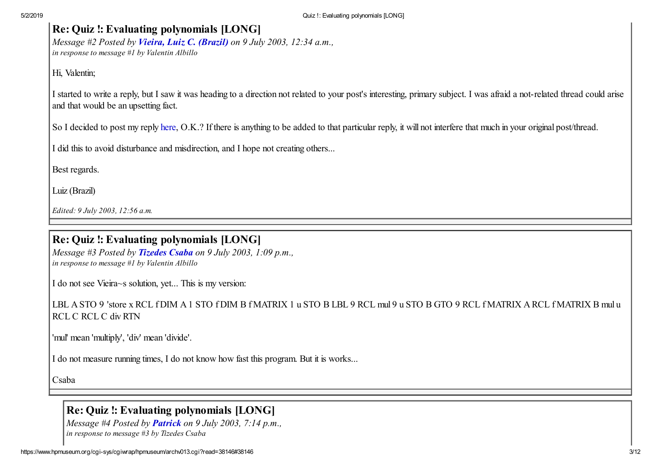# Re: Quiz !: Evaluating polynomials [LONG]

*Message #2 Posted by [Vieira, Luiz C. \(Brazil\)](https://www.hpmuseum.org/cgi-sys/cgiwrap/hpmuseum/archv013.cgi?contact=38164) on 9 July 2003, 12:34 a.m., in response to message #1 by Valentin Albillo*

Hi, Valentin;

I started to write a reply, but I saw it was heading to a direction not related to your post's interesting, primary subject. I was afraid a not-related thread could arise and that would be an upsetting fact.

So I decided to post my reply [here](http://www.hpmuseum.org/cgi-sys/cgiwrap/hpmuseum/forum.cgi?read=38163), O.K.? If there is anything to be added to that particular reply, it will not interfere that much in your original post/thread.

I did this to avoid disturbance and misdirection, and I hope not creating others...

Best regards.

Luiz (Brazil)

*Edited: 9 July 2003, 12:56 a.m.*

# Re: Quiz !: Evaluating polynomials [LONG]

*Message #3 Posted by [Tizedes Csaba](https://www.hpmuseum.org/cgi-sys/cgiwrap/hpmuseum/archv013.cgi?contact=38196) on 9 July 2003, 1:09 p.m., in response to message #1 by Valentin Albillo*

I do not see Vieira~s solution, yet... This is my version:

LBL A STO 9 'store x RCL f DIM A 1 STO f DIM B f MATRIX 1 u STO B LBL 9 RCL mul 9 u STO B GTO 9 RCL f MATRIX A RCL f MATRIX B mul u RCL C RCL C div RTN

'mul' mean 'multiply', 'div' mean 'divide'.

I do not measure running times, I do not know how fast this program. But it is works...

Csaba

# Re: Quiz !: Evaluating polynomials [LONG]

*Message #4 Posted by [Patrick](https://www.hpmuseum.org/cgi-sys/cgiwrap/hpmuseum/archv013.cgi?contact=38218) on 9 July 2003, 7:14 p.m., in response to message #3 by Tizedes Csaba*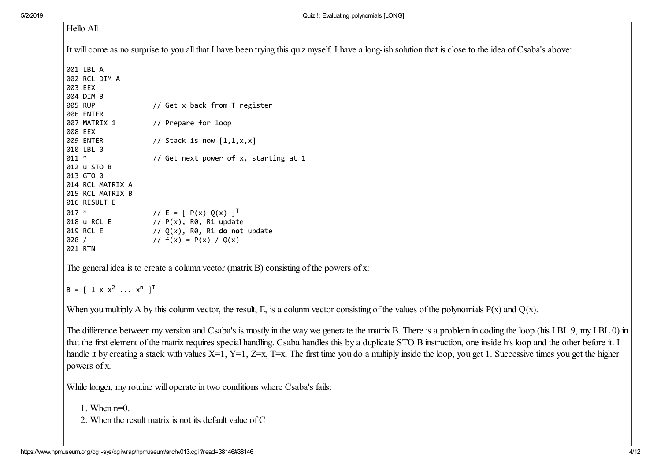| Hello All                            |                                                                                                                                                         |  |  |
|--------------------------------------|---------------------------------------------------------------------------------------------------------------------------------------------------------|--|--|
|                                      | It will come as no surprise to you all that I have been trying this quiz myself. I have a long-ish solution that is close to the idea of Csaba's above: |  |  |
| 001 LBL A                            |                                                                                                                                                         |  |  |
| 002 RCL DIM A                        |                                                                                                                                                         |  |  |
| 003 EEX                              |                                                                                                                                                         |  |  |
| 004 DIM B<br>005 RUP                 | // Get x back from T register                                                                                                                           |  |  |
| <b>006 ENTER</b>                     |                                                                                                                                                         |  |  |
| 007 MATRIX 1                         | // Prepare for loop                                                                                                                                     |  |  |
| 008 EEX                              |                                                                                                                                                         |  |  |
| 009 ENTER                            | // Stack is now $[1,1,x,x]$                                                                                                                             |  |  |
| 010 LBL 0                            |                                                                                                                                                         |  |  |
| $011 *$                              | // Get next power of x, starting at 1                                                                                                                   |  |  |
| 012 u STO B                          |                                                                                                                                                         |  |  |
| 013 GTO 0                            |                                                                                                                                                         |  |  |
| 014 RCL MATRIX A<br>015 RCL MATRIX B |                                                                                                                                                         |  |  |
| 016 RESULT E                         |                                                                                                                                                         |  |  |
| $017 *$                              | // E = [ P(x) Q(x) ] <sup>T</sup>                                                                                                                       |  |  |
| 018 u RCL E                          | // $P(x)$ , R0, R1 update                                                                                                                               |  |  |
| 019 RCL E                            | $// Q(x)$ , R0, R1 do not update                                                                                                                        |  |  |
| 020 /                                | // $f(x) = P(x) / Q(x)$                                                                                                                                 |  |  |
| 021 RTN                              |                                                                                                                                                         |  |  |

The general idea is to create a column vector (matrix B) consisting of the powers of x:

$$
B = [1 \times x^2 \dots x^n]^\mathsf{T}
$$

When you multiply A by this column vector, the result, E, is a column vector consisting of the values of the polynomials  $P(x)$  and  $Q(x)$ .

The difference between my version and Csaba's is mostly in the way we generate the matrix B. There is a problem in coding the loop (his LBL 9, my LBL 0) in that the first element of the matrix requires special handling. Csaba handles this by a duplicate STO B instruction, one inside his loop and the other before it. I handle it by creating a stack with values  $X=1$ ,  $Y=1$ ,  $Z=x$ ,  $T=x$ . The first time you do a multiply inside the loop, you get 1. Successive times you get the higher powers of x.

While longer, my routine will operate in two conditions where Csaba's fails:

1. When n=0.

2. When the result matrix is not its default value of C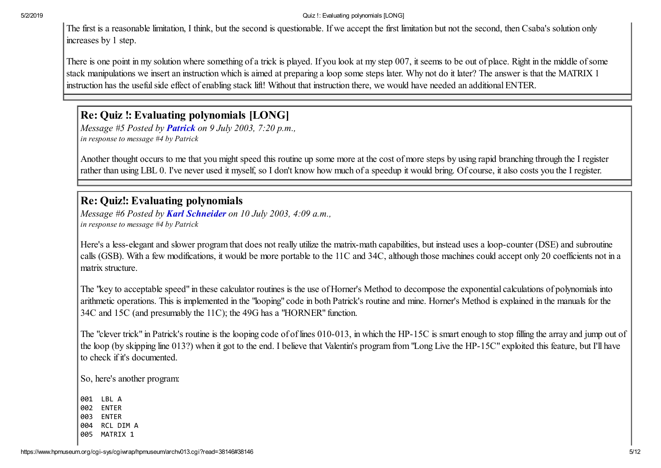#### 5/2/2019 Quiz !: Evaluating polynomials [LONG]

The first is a reasonable limitation, I think, but the second is questionable. If we accept the first limitation but not the second, then Csaba's solution only increases by 1 step.

There is one point in my solution where something of a trick is played. If you look at my step 007, it seems to be out of place. Right in the middle of some stack manipulations we insert an instruction which is aimed at preparing a loop some steps later. Why not do it later? The answer is that the MATRIX 1 instruction has the useful side effect of enabling stack lift! Without that instruction there, we would have needed an additional ENTER.

# Re: Quiz !: Evaluating polynomials [LONG]

*Message #5 Posted by [Patrick](https://www.hpmuseum.org/cgi-sys/cgiwrap/hpmuseum/archv013.cgi?contact=38223) on 9 July 2003, 7:20 p.m., in response to message #4 by Patrick*

Another thought occurs to me that you might speed this routine up some more at the cost of more steps by using rapid branching through the I register rather than using LBL 0. I've never used it myself, so I don't know how much of a speedup it would bring. Of course, it also costs you the I register.

### Re: Quiz!: Evaluating polynomials

*Message #6 Posted by [Karl Schneider](https://www.hpmuseum.org/cgi-sys/cgiwrap/hpmuseum/archv013.cgi?contact=38254) on 10 July 2003, 4:09 a.m., in response to message #4 by Patrick*

Here's a less-elegant and slower program that does not really utilize the matrix-math capabilities, but instead uses a loop-counter (DSE) and subroutine calls (GSB). With a few modifications, it would be more portable to the 11C and 34C, although those machines could accept only 20 coefficients not in a matrix structure.

The "key to acceptable speed" in these calculator routines is the use of Horner's Method to decompose the exponential calculations of polynomials into arithmetic operations. This is implemented in the "looping" code in both Patrick's routine and mine. Horner's Method is explained in the manuals for the 34C and 15C (and presumably the 11C); the 49G has a "HORNER" function.

The "clever trick" in Patrick's routine is the looping code of of lines 010-013, in which the HP-15C is smart enough to stop filling the array and jump out of the loop (by skipping line 013?) when it got to the end. I believe that Valentin's program from "Long Live the HP-15C" exploited this feature, but I'll have to check if it's documented.

So, here's another program:

001 LBL A 002 ENTER 003 ENTER 004 RCL DIM A 005 MATRIX 1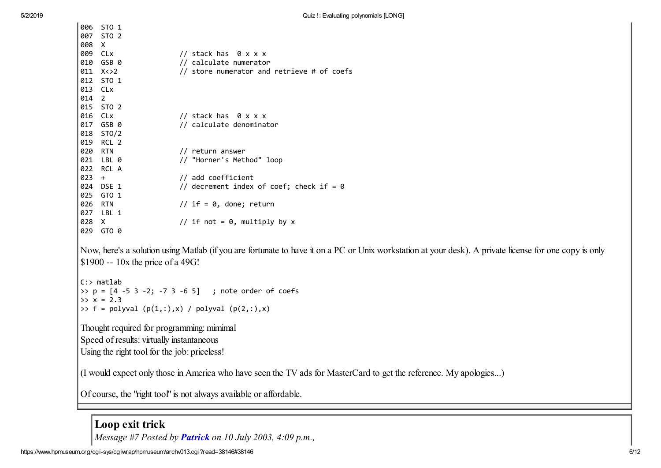|                                           |                                           | 006 STO 1                                                                                                         |                                                                                                                                                        |  |
|-------------------------------------------|-------------------------------------------|-------------------------------------------------------------------------------------------------------------------|--------------------------------------------------------------------------------------------------------------------------------------------------------|--|
|                                           |                                           | 007 STO 2                                                                                                         |                                                                                                                                                        |  |
|                                           | 008                                       | $\mathsf{X}$                                                                                                      |                                                                                                                                                        |  |
|                                           | 009                                       | CLx                                                                                                               | // stack has 0 x x x                                                                                                                                   |  |
|                                           | 010                                       | GSB 0                                                                                                             | // calculate numerator                                                                                                                                 |  |
|                                           |                                           | 011 X < > 2                                                                                                       | // store numerator and retrieve # of coefs                                                                                                             |  |
|                                           |                                           | 012 STO 1                                                                                                         |                                                                                                                                                        |  |
|                                           | 013 CLx                                   |                                                                                                                   |                                                                                                                                                        |  |
|                                           | 014 2                                     |                                                                                                                   |                                                                                                                                                        |  |
|                                           |                                           | 015 STO 2                                                                                                         |                                                                                                                                                        |  |
|                                           | 016 CLx                                   |                                                                                                                   | // stack has 0 x x x                                                                                                                                   |  |
|                                           |                                           | 017 GSB 0                                                                                                         | // calculate denominator                                                                                                                               |  |
|                                           |                                           | 018 STO/2                                                                                                         |                                                                                                                                                        |  |
|                                           |                                           | 019 RCL 2                                                                                                         |                                                                                                                                                        |  |
|                                           | 020                                       | <b>RTN</b>                                                                                                        | // return answer                                                                                                                                       |  |
|                                           |                                           | 021 LBL 0                                                                                                         | // "Horner's Method" loop                                                                                                                              |  |
|                                           |                                           | 022 RCL A                                                                                                         |                                                                                                                                                        |  |
|                                           | $023 +$                                   |                                                                                                                   | // add coefficient                                                                                                                                     |  |
|                                           |                                           | 024 DSE 1                                                                                                         | // decrement index of coef; check if = $0$                                                                                                             |  |
|                                           |                                           | 025 GTO 1                                                                                                         |                                                                                                                                                        |  |
|                                           | 026 RTN                                   |                                                                                                                   | // if = $0$ , done; return                                                                                                                             |  |
|                                           |                                           | 027 LBL 1                                                                                                         |                                                                                                                                                        |  |
|                                           | 028 X                                     |                                                                                                                   | // if not = $0$ , multiply by x                                                                                                                        |  |
|                                           |                                           | 029 GTO 0                                                                                                         |                                                                                                                                                        |  |
|                                           |                                           |                                                                                                                   |                                                                                                                                                        |  |
|                                           |                                           |                                                                                                                   | Now, here's a solution using Matlab (if you are fortunate to have it on a PC or Unix workstation at your desk). A private license for one copy is only |  |
|                                           |                                           | $$1900 - 10x$ the price of a 49G!                                                                                 |                                                                                                                                                        |  |
|                                           |                                           |                                                                                                                   |                                                                                                                                                        |  |
|                                           |                                           | $C:$ matlab                                                                                                       |                                                                                                                                                        |  |
|                                           |                                           |                                                                                                                   | >> $p = [4 -5 3 -2; -7 3 -6 5]$ ; note order of coefs                                                                                                  |  |
|                                           |                                           | $>> x = 2.3$                                                                                                      |                                                                                                                                                        |  |
|                                           |                                           |                                                                                                                   | >> f = polyval $(p(1,:),x)$ / polyval $(p(2,:),x)$                                                                                                     |  |
| Thought required for programming: mimimal |                                           |                                                                                                                   |                                                                                                                                                        |  |
|                                           |                                           |                                                                                                                   |                                                                                                                                                        |  |
|                                           | Speed of results: virtually instantaneous |                                                                                                                   |                                                                                                                                                        |  |
|                                           |                                           | Using the right tool for the job: priceless!                                                                      |                                                                                                                                                        |  |
|                                           |                                           |                                                                                                                   |                                                                                                                                                        |  |
|                                           |                                           | (I would expect only those in America who have seen the TV ads for MasterCard to get the reference. My apologies) |                                                                                                                                                        |  |

Of course, the "right tool" is not always available or affordable.

# Loop exit trick

*Message #7 Posted by [Patrick](https://www.hpmuseum.org/cgi-sys/cgiwrap/hpmuseum/archv013.cgi?contact=38283) on 10 July 2003, 4:09 p.m.,*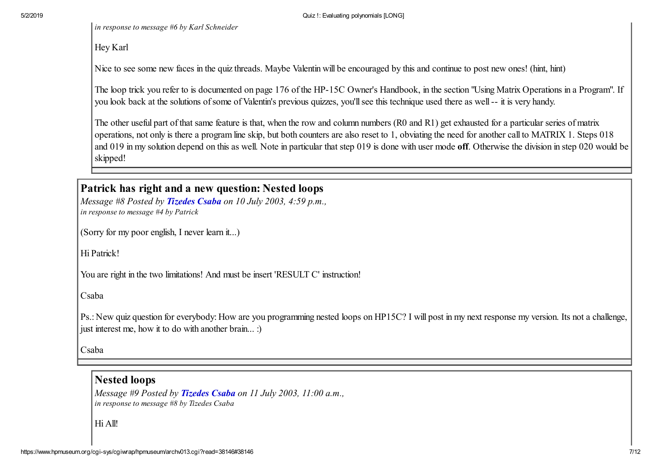*in response to message #6 by Karl Schneider*

Hey Karl

Nice to see some new faces in the quiz threads. Maybe Valentin will be encouraged by this and continue to post new ones! (hint, hint)

The loop trick you refer to is documented on page 176 of the HP-15C Owner's Handbook, in the section "Using Matrix Operations in a Program". If you look back at the solutions of some of Valentin's previous quizzes, you'll see this technique used there as well -- it is very handy.

The other useful part of that same feature is that, when the row and column numbers (R0 and R1) get exhausted for a particular series of matrix operations, not only is there a program line skip, but both counters are also reset to 1, obviating the need for another call to MATRIX 1. Steps 018 and 019 in my solution depend on this as well. Note in particular that step 019 is done with user mode off. Otherwise the division in step 020 would be skipped!

### Patrick has right and a new question: Nested loops

*Message #8 Posted by [Tizedes Csaba](https://www.hpmuseum.org/cgi-sys/cgiwrap/hpmuseum/archv013.cgi?contact=38293) on 10 July 2003, 4:59 p.m., in response to message #4 by Patrick*

(Sorry for my poor english, I never learn it...)

Hi Patrick!

You are right in the two limitations! And must be insert 'RESULT C' instruction!

Csaba

Ps.: New quiz question for everybody: How are you programming nested loops on HP15C? I will post in my next response my version. Its not a challenge, just interest me, how it to do with another brain... :)

Csaba

#### Nested loops

*Message #9 Posted by [Tizedes Csaba](https://www.hpmuseum.org/cgi-sys/cgiwrap/hpmuseum/archv013.cgi?contact=38392) on 11 July 2003, 11:00 a.m., in response to message #8 by Tizedes Csaba*

Hi All!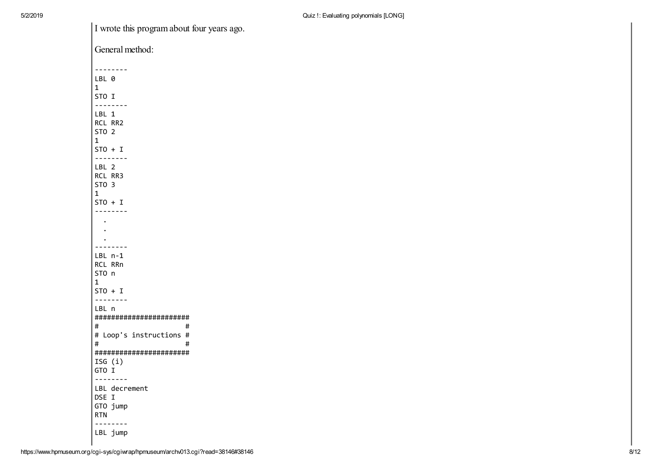I wrote this program about four years ago.

| General method:                                                      |  |  |  |
|----------------------------------------------------------------------|--|--|--|
| --------<br>LBL 0<br>1                                               |  |  |  |
| STO I<br>--------                                                    |  |  |  |
| LBL 1<br>RCL RR2<br>STO <sub>2</sub><br>$\mathbf{1}$                 |  |  |  |
| $STO + I$<br>--------                                                |  |  |  |
| LBL 2<br>RCL RR3<br>STO <sub>3</sub>                                 |  |  |  |
| $\mathbf{1}$<br>$STO + I$                                            |  |  |  |
| --------                                                             |  |  |  |
|                                                                      |  |  |  |
|                                                                      |  |  |  |
| .<br>LBL n-1<br>RCL RRn<br>STO n<br>1<br>$STO + I$<br>$- - - -$<br>. |  |  |  |
| LBL n<br>#######################<br>#<br>#                           |  |  |  |
| # Loop's instructions #<br>#<br>#                                    |  |  |  |
| #######################<br>ISG $(i)$<br>GTO I                        |  |  |  |
| --------<br>LBL decrement<br>DSE I<br>GTO jump<br>RTN<br>--------    |  |  |  |
| LBL jump                                                             |  |  |  |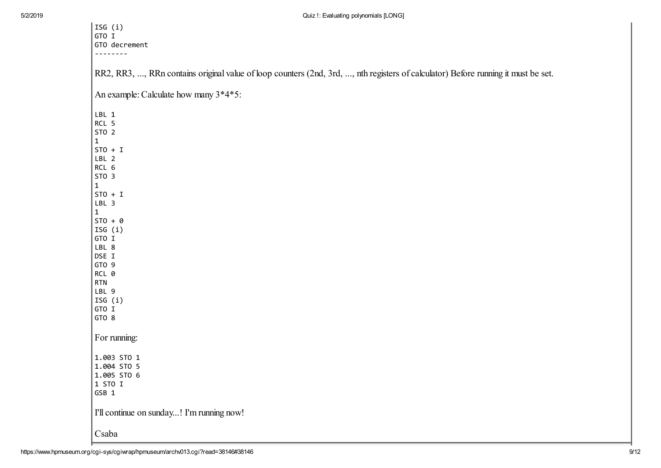| ISG (i)<br>GTO I                                                                                                                  |  |
|-----------------------------------------------------------------------------------------------------------------------------------|--|
| GTO decrement                                                                                                                     |  |
|                                                                                                                                   |  |
| RR2, RR3, , RRn contains original value of loop counters (2nd, 3rd, , nth registers of calculator) Before running it must be set. |  |
| An example: Calculate how many 3*4*5:                                                                                             |  |
| LBL 1                                                                                                                             |  |
| RCL 5                                                                                                                             |  |
| ST0 2                                                                                                                             |  |
| $\mathbf{1}$                                                                                                                      |  |
| $STO + I$                                                                                                                         |  |
| LBL 2                                                                                                                             |  |
| RCL 6                                                                                                                             |  |
| STO <sub>3</sub>                                                                                                                  |  |
| $\mathbf{1}$                                                                                                                      |  |
| $STO + I$                                                                                                                         |  |
| LBL 3                                                                                                                             |  |
| $\mathbf{1}$<br>$STO + 0$                                                                                                         |  |
| ISG (i)                                                                                                                           |  |
| GTO I                                                                                                                             |  |
| LBL 8                                                                                                                             |  |
| DSE I                                                                                                                             |  |
| GTO 9                                                                                                                             |  |
| RCL 0                                                                                                                             |  |
| <b>RTN</b>                                                                                                                        |  |
| LBL 9                                                                                                                             |  |
| ISG (i)                                                                                                                           |  |
| GTO I                                                                                                                             |  |
| GTO 8                                                                                                                             |  |
| For running:                                                                                                                      |  |
| 1.003 STO 1                                                                                                                       |  |
| 1.004 STO 5                                                                                                                       |  |
| 1.005 STO 6                                                                                                                       |  |
| 1 STO I                                                                                                                           |  |
| GSB 1                                                                                                                             |  |
| I'll continue on sunday! I'm running now!                                                                                         |  |
| Csaba                                                                                                                             |  |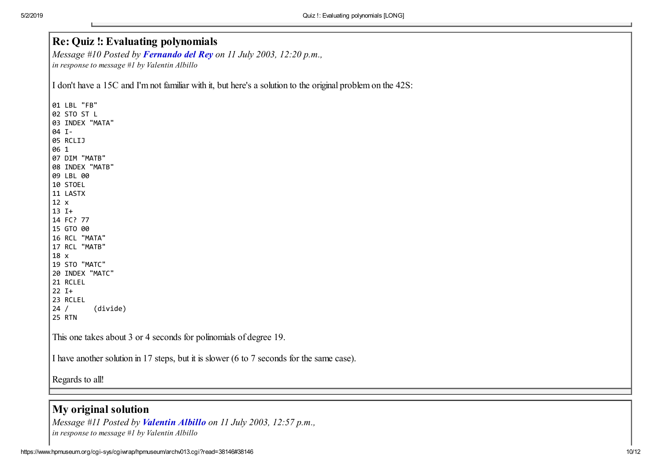### Re: Quiz !: Evaluating polynomials

*Message #10 Posted by [Fernando del Rey](https://www.hpmuseum.org/cgi-sys/cgiwrap/hpmuseum/archv013.cgi?contact=38403) on 11 July 2003, 12:20 p.m., in response to message #1 by Valentin Albillo*

I don't have a 15C and I'm not familiar with it, but here's a solution to the original problem on the 42S:

 LBL "FB" STO ST L INDEX "MATA" I- RCLIJ 1 DIM "MATB" INDEX "MATB" LBL 00 STOEL LASTX x I+ FC? 77 GTO 00 RCL "MATA" RCL "MATB" x STO "MATC" INDEX "MATC" RCLEL I+ RCLEL / (divide) RTN This one takes about 3 or 4 seconds for polinomials of degree 19. I have another solution in 17 steps, but it is slower (6 to 7 seconds for the same case).

Regards to all!

#### My original solution

*Message #11 Posted by [Valentin Albillo](https://www.hpmuseum.org/cgi-sys/cgiwrap/hpmuseum/archv013.cgi?contact=38414) on 11 July 2003, 12:57 p.m., in response to message #1 by Valentin Albillo*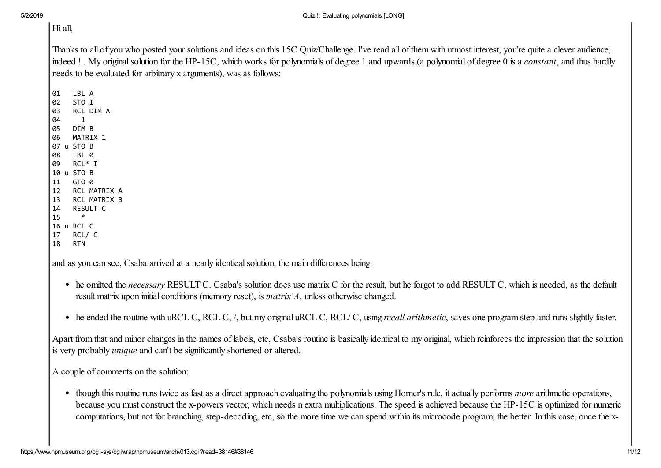# Hi all,

Thanks to all of you who posted your solutions and ideas on this 15C Quiz/Challenge. I've read all of them with utmost interest, you're quite a clever audience, indeed ! . My original solution for the HP-15C, which works for polynomials of degree 1 and upwards (a polynomial of degree 0 is a *constant*, and thus hardly needs to be evaluated for arbitrary x arguments), was as follows:

01 LBL A 02 STO I 03 RCL DIM A 04 1 05 DIM B 06 MATRIX 1 07 u STO B 08 LBL 0 09 RCL\* I 10 u STO B 11 GTO 0 12 RCL MATRIX A 13 RCL MATRIX B 14 RESULT C 15 \* 16 u RCL C 17 RCL/ C 18 RTN

and as you can see, Csaba arrived at a nearly identical solution, the main differences being:

- he omitted the *necessary* RESULT C. Csaba's solution does use matrix C for the result, but he forgot to add RESULT C, which is needed, as the default result matrix upon initial conditions (memory reset), is *matrix A*, unless otherwise changed.
- he ended the routine with uRCL C, RCL C, /, but my original uRCL C, RCL/ C, using *recall arithmetic*, saves one program step and runs slightly faster.

Apart from that and minor changes in the names of labels, etc, Csaba's routine is basically identical to my original, which reinforces the impression that the solution is very probably *unique* and can't be significantly shortened or altered.

A couple of comments on the solution:

though this routine runs twice as fast as a direct approach evaluating the polynomials using Horner's rule, it actually performs *more* arithmetic operations, because you must construct the x-powers vector, which needs n extra multiplications. The speed is achieved because the HP-15C is optimized for numeric computations, but not for branching, step-decoding, etc, so the more time we can spend within its microcode program, the better. In this case, once the x-